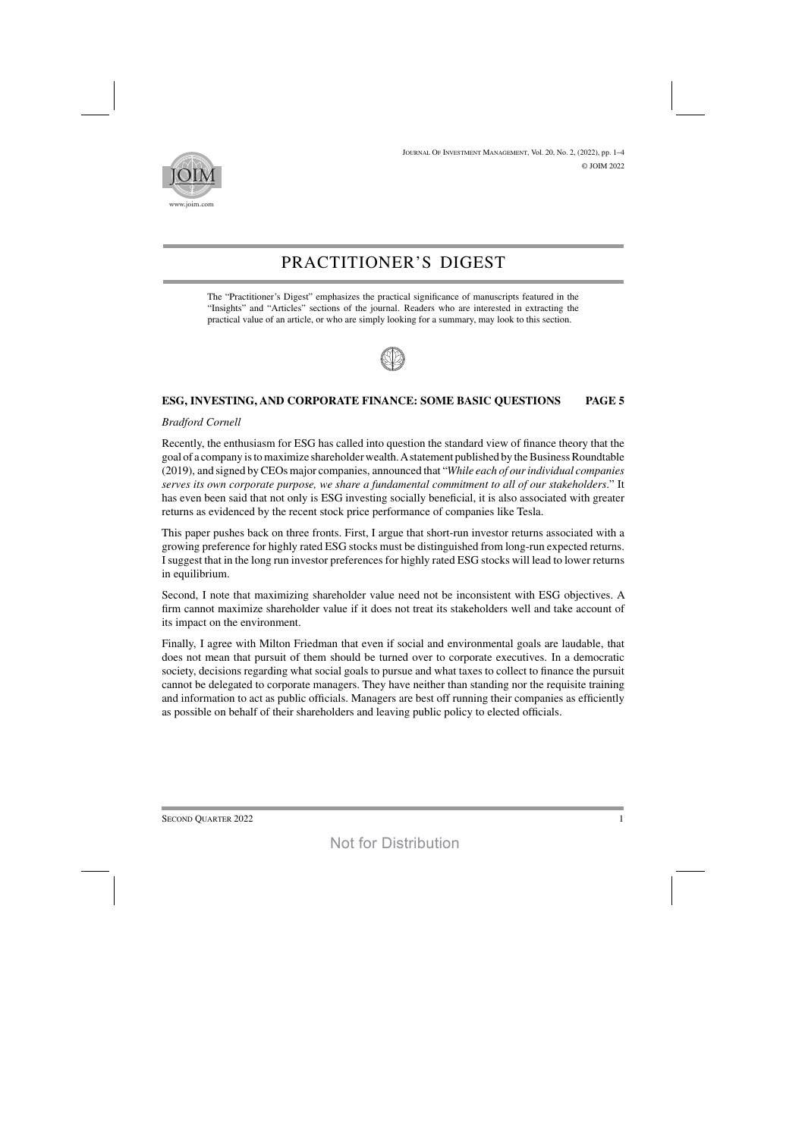

# PRACTITIONER'S DIGEST

The "Practitioner's Digest" emphasizes the practical significance of manuscripts featured in the "Insights" and "Articles" sections of the journal. Readers who are interested in extracting the practical value of an article, or who are simply looking for a summary, may look to this section.



# **ESG, INVESTING, AND CORPORATE FINANCE: SOME BASIC QUESTIONS PAGE 5**

## *Bradford Cornell*

Recently, the enthusiasm for ESG has called into question the standard view of finance theory that the goal of a company is to maximize shareholder wealth. A statement published by the Business Roundtable (2019), and signed byCEOs major companies, announced that "*While each of ourindividual companies serves its own corporate purpose, we share a fundamental commitment to all of our stakeholders*." It has even been said that not only is ESG investing socially beneficial, it is also associated with greater returns as evidenced by the recent stock price performance of companies like Tesla.

This paper pushes back on three fronts. First, I argue that short-run investor returns associated with a growing preference for highly rated ESG stocks must be distinguished from long-run expected returns. I suggest that in the long run investor preferences for highly rated ESG stocks will lead to lower returns in equilibrium.

Second, I note that maximizing shareholder value need not be inconsistent with ESG objectives. A firm cannot maximize shareholder value if it does not treat its stakeholders well and take account of its impact on the environment.

Finally, I agree with Milton Friedman that even if social and environmental goals are laudable, that does not mean that pursuit of them should be turned over to corporate executives. In a democratic society, decisions regarding what social goals to pursue and what taxes to collect to finance the pursuit cannot be delegated to corporate managers. They have neither than standing nor the requisite training and information to act as public officials. Managers are best off running their companies as efficiently as possible on behalf of their shareholders and leaving public policy to elected officials.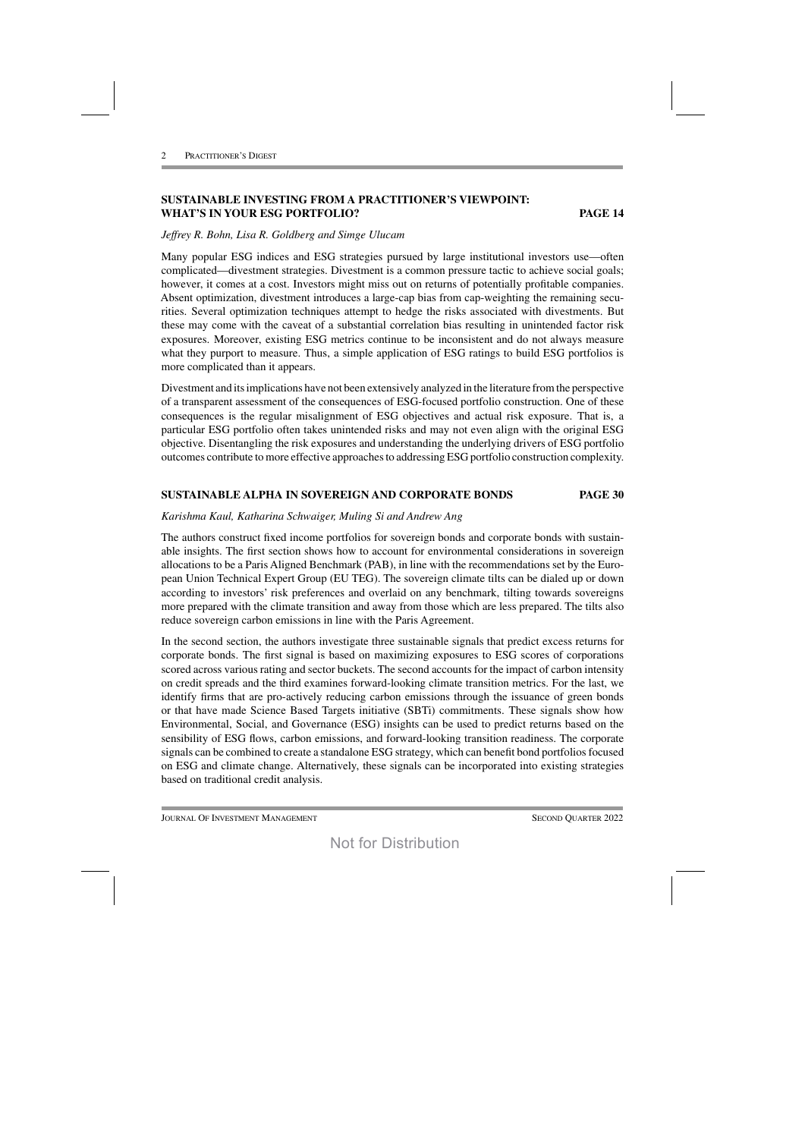# **SUSTAINABLE INVESTING FROM A PRACTITIONER'S VIEWPOINT: WHAT'S IN YOUR ESG PORTFOLIO? PAGE 14**

## *Jeffrey R. Bohn, Lisa R. Goldberg and Simge Ulucam*

Many popular ESG indices and ESG strategies pursued by large institutional investors use—often complicated—divestment strategies. Divestment is a common pressure tactic to achieve social goals; however, it comes at a cost. Investors might miss out on returns of potentially profitable companies. Absent optimization, divestment introduces a large-cap bias from cap-weighting the remaining securities. Several optimization techniques attempt to hedge the risks associated with divestments. But these may come with the caveat of a substantial correlation bias resulting in unintended factor risk exposures. Moreover, existing ESG metrics continue to be inconsistent and do not always measure what they purport to measure. Thus, a simple application of ESG ratings to build ESG portfolios is more complicated than it appears.

Divestment and itsimplications have not been extensively analyzed in the literature fromthe perspective of a transparent assessment of the consequences of ESG-focused portfolio construction. One of these consequences is the regular misalignment of ESG objectives and actual risk exposure. That is, a particular ESG portfolio often takes unintended risks and may not even align with the original ESG objective. Disentangling the risk exposures and understanding the underlying drivers of ESG portfolio outcomes contribute to more effective approaches to addressing ESG portfolio construction complexity.

### **SUSTAINABLE ALPHA IN SOVEREIGN AND CORPORATE BONDS PAGE 30**

#### *Karishma Kaul, Katharina Schwaiger, Muling Si and Andrew Ang*

The authors construct fixed income portfolios for sovereign bonds and corporate bonds with sustainable insights. The first section shows how to account for environmental considerations in sovereign allocations to be a Paris Aligned Benchmark (PAB), in line with the recommendations set by the European Union Technical Expert Group (EU TEG). The sovereign climate tilts can be dialed up or down according to investors' risk preferences and overlaid on any benchmark, tilting towards sovereigns more prepared with the climate transition and away from those which are less prepared. The tilts also reduce sovereign carbon emissions in line with the Paris Agreement.

In the second section, the authors investigate three sustainable signals that predict excess returns for corporate bonds. The first signal is based on maximizing exposures to ESG scores of corporations scored across various rating and sector buckets. The second accounts for the impact of carbon intensity on credit spreads and the third examines forward-looking climate transition metrics. For the last, we identify firms that are pro-actively reducing carbon emissions through the issuance of green bonds or that have made Science Based Targets initiative (SBTi) commitments. These signals show how Environmental, Social, and Governance (ESG) insights can be used to predict returns based on the sensibility of ESG flows, carbon emissions, and forward-looking transition readiness. The corporate signals can be combined to create a standalone ESG strategy, which can benefit bond portfolios focused on ESG and climate change. Alternatively, these signals can be incorporated into existing strategies based on traditional credit analysis.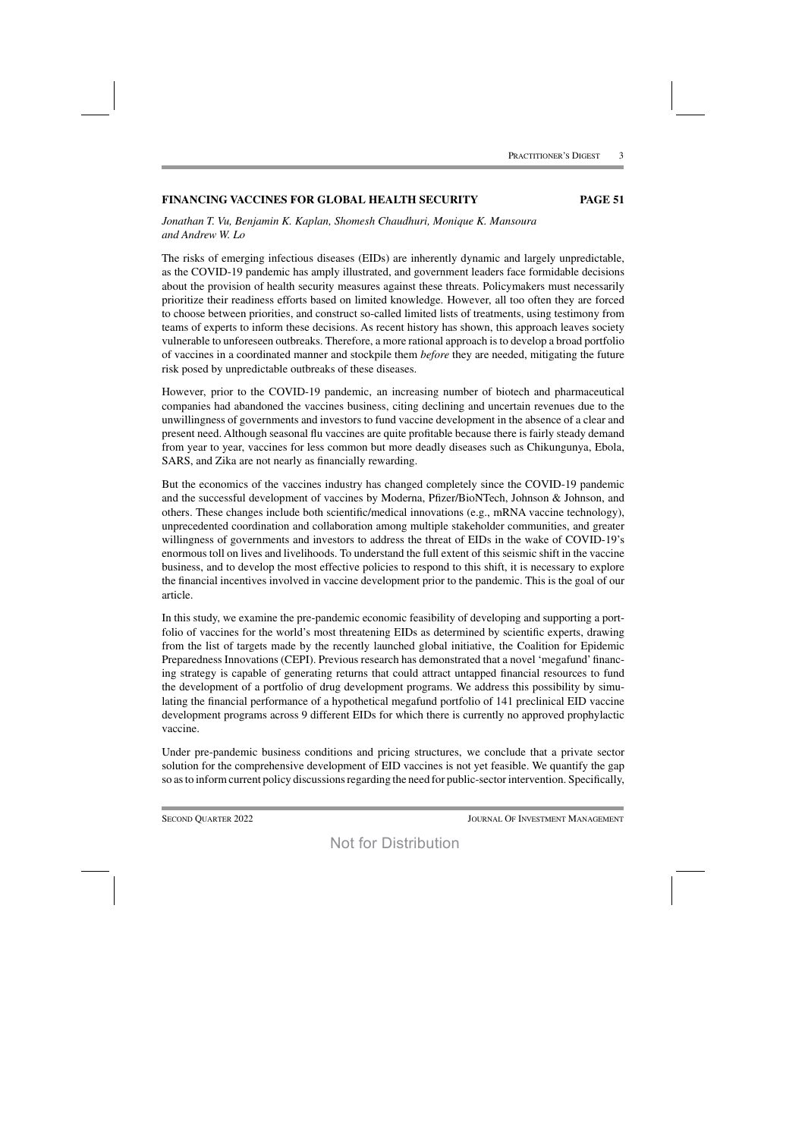### **FINANCING VACCINES FOR GLOBAL HEALTH SECURITY PAGE 51**

*Jonathan T. Vu, Benjamin K. Kaplan, Shomesh Chaudhuri, Monique K. Mansoura and Andrew W. Lo*

The risks of emerging infectious diseases (EIDs) are inherently dynamic and largely unpredictable, as the COVID-19 pandemic has amply illustrated, and government leaders face formidable decisions about the provision of health security measures against these threats. Policymakers must necessarily prioritize their readiness efforts based on limited knowledge. However, all too often they are forced to choose between priorities, and construct so-called limited lists of treatments, using testimony from teams of experts to inform these decisions. As recent history has shown, this approach leaves society vulnerable to unforeseen outbreaks. Therefore, a more rational approach is to develop a broad portfolio of vaccines in a coordinated manner and stockpile them *before* they are needed, mitigating the future risk posed by unpredictable outbreaks of these diseases.

However, prior to the COVID-19 pandemic, an increasing number of biotech and pharmaceutical companies had abandoned the vaccines business, citing declining and uncertain revenues due to the unwillingness of governments and investors to fund vaccine development in the absence of a clear and present need. Although seasonal flu vaccines are quite profitable because there is fairly steady demand from year to year, vaccines for less common but more deadly diseases such as Chikungunya, Ebola, SARS, and Zika are not nearly as financially rewarding.

But the economics of the vaccines industry has changed completely since the COVID-19 pandemic and the successful development of vaccines by Moderna, Pfizer/BioNTech, Johnson & Johnson, and others. These changes include both scientific/medical innovations (e.g., mRNA vaccine technology), unprecedented coordination and collaboration among multiple stakeholder communities, and greater willingness of governments and investors to address the threat of EIDs in the wake of COVID-19's enormous toll on lives and livelihoods. To understand the full extent of this seismic shift in the vaccine business, and to develop the most effective policies to respond to this shift, it is necessary to explore the financial incentives involved in vaccine development prior to the pandemic. This is the goal of our article.

In this study, we examine the pre-pandemic economic feasibility of developing and supporting a portfolio of vaccines for the world's most threatening EIDs as determined by scientific experts, drawing from the list of targets made by the recently launched global initiative, the Coalition for Epidemic Preparedness Innovations (CEPI). Previous research has demonstrated that a novel 'megafund' financing strategy is capable of generating returns that could attract untapped financial resources to fund the development of a portfolio of drug development programs. We address this possibility by simulating the financial performance of a hypothetical megafund portfolio of 141 preclinical EID vaccine development programs across 9 different EIDs for which there is currently no approved prophylactic vaccine.

Under pre-pandemic business conditions and pricing structures, we conclude that a private sector solution for the comprehensive development of EID vaccines is not yet feasible. We quantify the gap so as to inform current policy discussions regarding the need for public-sector intervention. Specifically,